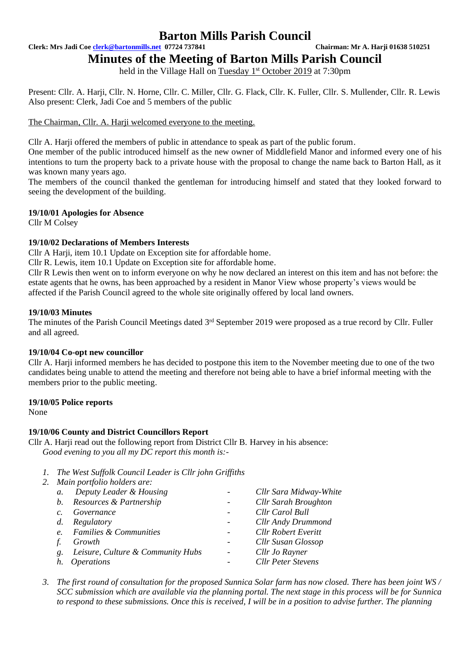**Clerk: Mrs Jadi Coe [clerk@bartonmills.net](mailto:clerk@bartonmills.net) 07724 737841 Chairman: Mr A. Harji 01638 510251**

# **Minutes of the Meeting of Barton Mills Parish Council**

held in the Village Hall on Tuesday 1<sup>st</sup> October 2019 at 7:30pm

Present: Cllr. A. Harji, Cllr. N. Horne, Cllr. C. Miller, Cllr. G. Flack, Cllr. K. Fuller, Cllr. S. Mullender, Cllr. R. Lewis Also present: Clerk, Jadi Coe and 5 members of the public

The Chairman, Cllr. A. Harji welcomed everyone to the meeting.

Cllr A. Harji offered the members of public in attendance to speak as part of the public forum.

One member of the public introduced himself as the new owner of Middlefield Manor and informed every one of his intentions to turn the property back to a private house with the proposal to change the name back to Barton Hall, as it was known many years ago.

The members of the council thanked the gentleman for introducing himself and stated that they looked forward to seeing the development of the building.

### **19/10/01 Apologies for Absence**

Cllr M Colsey

### **19/10/02 Declarations of Members Interests**

Cllr A Harji, item 10.1 Update on Exception site for affordable home.

Cllr R. Lewis, item 10.1 Update on Exception site for affordable home.

Cllr R Lewis then went on to inform everyone on why he now declared an interest on this item and has not before: the estate agents that he owns, has been approached by a resident in Manor View whose property's views would be affected if the Parish Council agreed to the whole site originally offered by local land owners.

### **19/10/03 Minutes**

The minutes of the Parish Council Meetings dated 3<sup>rd</sup> September 2019 were proposed as a true record by Cllr. Fuller and all agreed.

### **19/10/04 Co-opt new councillor**

Cllr A. Harji informed members he has decided to postpone this item to the November meeting due to one of the two candidates being unable to attend the meeting and therefore not being able to have a brief informal meeting with the members prior to the public meeting.

### **19/10/05 Police reports**

None

### **19/10/06 County and District Councillors Report**

Cllr A. Harji read out the following report from District Cllr B. Harvey in his absence: *Good evening to you all my DC report this month is:-*

*1. The West Suffolk Council Leader is Cllr john Griffiths* 

| 2. Main portfolio holders are: |               |                                   |                          |                             |  |  |  |  |
|--------------------------------|---------------|-----------------------------------|--------------------------|-----------------------------|--|--|--|--|
|                                | $a$ .         | Deputy Leader & Housing           | $\overline{\phantom{0}}$ | Cllr Sara Midway-White      |  |  |  |  |
|                                |               | b. Resources & Partnership        | $\overline{\phantom{a}}$ | <b>Cllr Sarah Broughton</b> |  |  |  |  |
|                                | $\mathcal{C}$ | Governance                        |                          | Cllr Carol Bull             |  |  |  |  |
|                                | $d_{\cdot}$   | Regulatory                        |                          | Cllr Andy Drummond          |  |  |  |  |
|                                | e.            | <b>Families &amp; Communities</b> |                          | <b>Cllr Robert Everitt</b>  |  |  |  |  |
|                                |               | Growth                            |                          | Cllr Susan Glossop          |  |  |  |  |
|                                | g.            | Leisure, Culture & Community Hubs | $\overline{\phantom{a}}$ | Cllr Jo Rayner              |  |  |  |  |
|                                |               | <i><b>Operations</b></i>          |                          | <b>Cllr Peter Stevens</b>   |  |  |  |  |
|                                |               |                                   |                          |                             |  |  |  |  |

*3. The first round of consultation for the proposed Sunnica Solar farm has now closed. There has been joint WS / SCC submission which are available via the planning portal. The next stage in this process will be for Sunnica to respond to these submissions. Once this is received, I will be in a position to advise further. The planning*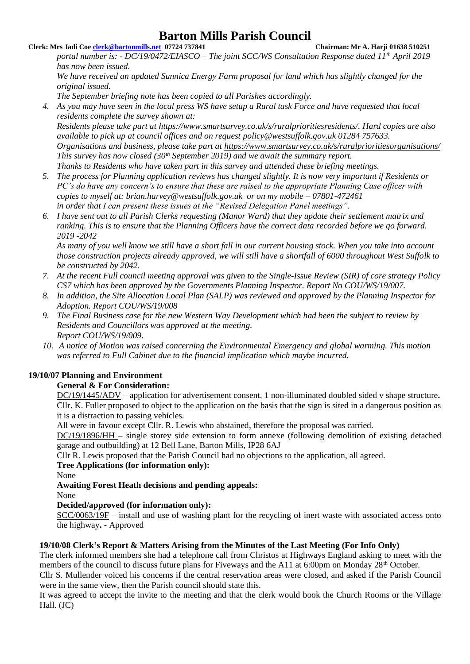### **Clerk: Mrs Jadi Coe [clerk@bartonmills.net](mailto:clerk@bartonmills.net) 07724 737841 Chairman: Mr A. Harji 01638 510251**

*portal number is: - DC/19/0472/EIASCO – The joint SCC/WS Consultation Response dated 11th April 2019 has now been issued.* 

*We have received an updated Sunnica Energy Farm proposal for land which has slightly changed for the original issued.* 

*The September briefing note has been copied to all Parishes accordingly.* 

*4. As you may have seen in the local press WS have setup a Rural task Force and have requested that local residents complete the survey shown at:* 

*Residents please take part at [https://www.smartsurvey.co.uk/s/ruralprioritiesresidents/.](https://www.smartsurvey.co.uk/s/ruralprioritiesresidents/) Hard copies are also available to pick up at council offices and on request [policy@westsuffolk.gov.uk](mailto:policy@westsuffolk.gov.uk) 01284 757633. Organisations and business, please take part at <https://www.smartsurvey.co.uk/s/ruralprioritiesorganisations/> This survey has now closed (30th September 2019) and we await the summary report. Thanks to Residents who have taken part in this survey and attended these briefing meetings.*

- *5. The process for Planning application reviews has changed slightly. It is now very important if Residents or PC's do have any concern's to ensure that these are raised to the appropriate Planning Case officer with copies to myself at: brian.harvey@westsuffolk.gov.uk or on my mobile – 07801-472461 in order that I can present these issues at the "Revised Delegation Panel meetings".*
- *6. I have sent out to all Parish Clerks requesting (Manor Ward) that they update their settlement matrix and ranking. This is to ensure that the Planning Officers have the correct data recorded before we go forward. 2019 -2042*

*As many of you well know we still have a short fall in our current housing stock. When you take into account those construction projects already approved, we will still have a shortfall of 6000 throughout West Suffolk to be constructed by 2042.* 

- *7. At the recent Full council meeting approval was given to the Single-Issue Review (SIR) of core strategy Policy CS7 which has been approved by the Governments Planning Inspector. Report No COU/WS/19/007.*
- *8. In addition, the Site Allocation Local Plan (SALP) was reviewed and approved by the Planning Inspector for Adoption. Report COU/WS/19/008*
- *9. The Final Business case for the new Western Way Development which had been the subject to review by Residents and Councillors was approved at the meeting. Report COU/WS/19/009.*
- *10. A notice of Motion was raised concerning the Environmental Emergency and global warming. This motion was referred to Full Cabinet due to the financial implication which maybe incurred.*

## **19/10/07 Planning and Environment**

## **General & For Consideration:**

DC/19/1445/ADV **–** application for advertisement consent, 1 non-illuminated doubled sided v shape structure**.** Cllr. K. Fuller proposed to object to the application on the basis that the sign is sited in a dangerous position as it is a distraction to passing vehicles.

All were in favour except Cllr. R. Lewis who abstained, therefore the proposal was carried.

DC/19/1896/HH **–** single storey side extension to form annexe (following demolition of existing detached garage and outbuilding) at 12 Bell Lane, Barton Mills, IP28 6AJ

Cllr R. Lewis proposed that the Parish Council had no objections to the application, all agreed.

## **Tree Applications (for information only):**

None

## **Awaiting Forest Heath decisions and pending appeals:**

None

## **Decided/approved (for information only):**

SCC/0063/19F – install and use of washing plant for the recycling of inert waste with associated access onto the highway**. -** Approved

## **19/10/08 Clerk's Report & Matters Arising from the Minutes of the Last Meeting (For Info Only)**

The clerk informed members she had a telephone call from Christos at Highways England asking to meet with the members of the council to discuss future plans for Fiveways and the A11 at 6:00pm on Monday 28<sup>th</sup> October.

Cllr S. Mullender voiced his concerns if the central reservation areas were closed, and asked if the Parish Council were in the same view, then the Parish council should state this.

It was agreed to accept the invite to the meeting and that the clerk would book the Church Rooms or the Village Hall. (JC)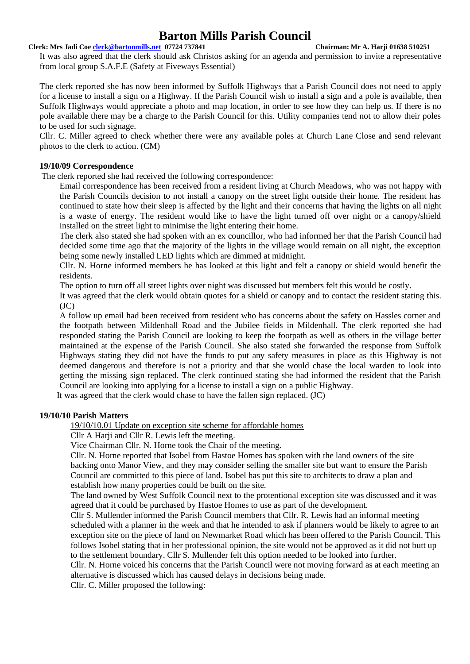### **Clerk: Mrs Jadi Coe [clerk@bartonmills.net](mailto:clerk@bartonmills.net) 07724 737841 Chairman: Mr A. Harji 01638 510251**

It was also agreed that the clerk should ask Christos asking for an agenda and permission to invite a representative from local group S.A.F.E (Safety at Fiveways Essential)

The clerk reported she has now been informed by Suffolk Highways that a Parish Council does not need to apply for a license to install a sign on a Highway. If the Parish Council wish to install a sign and a pole is available, then Suffolk Highways would appreciate a photo and map location, in order to see how they can help us. If there is no pole available there may be a charge to the Parish Council for this. Utility companies tend not to allow their poles to be used for such signage.

Cllr. C. Miller agreed to check whether there were any available poles at Church Lane Close and send relevant photos to the clerk to action. (CM)

### **19/10/09 Correspondence**

The clerk reported she had received the following correspondence:

Email correspondence has been received from a resident living at Church Meadows, who was not happy with the Parish Councils decision to not install a canopy on the street light outside their home. The resident has continued to state how their sleep is affected by the light and their concerns that having the lights on all night is a waste of energy. The resident would like to have the light turned off over night or a canopy/shield installed on the street light to minimise the light entering their home.

The clerk also stated she had spoken with an ex councillor, who had informed her that the Parish Council had decided some time ago that the majority of the lights in the village would remain on all night, the exception being some newly installed LED lights which are dimmed at midnight.

Cllr. N. Horne informed members he has looked at this light and felt a canopy or shield would benefit the residents.

The option to turn off all street lights over night was discussed but members felt this would be costly.

It was agreed that the clerk would obtain quotes for a shield or canopy and to contact the resident stating this.  $(JC)$ 

A follow up email had been received from resident who has concerns about the safety on Hassles corner and the footpath between Mildenhall Road and the Jubilee fields in Mildenhall. The clerk reported she had responded stating the Parish Council are looking to keep the footpath as well as others in the village better maintained at the expense of the Parish Council. She also stated she forwarded the response from Suffolk Highways stating they did not have the funds to put any safety measures in place as this Highway is not deemed dangerous and therefore is not a priority and that she would chase the local warden to look into getting the missing sign replaced. The clerk continued stating she had informed the resident that the Parish Council are looking into applying for a license to install a sign on a public Highway.

It was agreed that the clerk would chase to have the fallen sign replaced. (JC)

### **19/10/10 Parish Matters**

19/10/10.01 Update on exception site scheme for affordable homes

Cllr A Harji and Cllr R. Lewis left the meeting.

Vice Chairman Cllr. N. Horne took the Chair of the meeting.

Cllr. N. Horne reported that Isobel from Hastoe Homes has spoken with the land owners of the site backing onto Manor View, and they may consider selling the smaller site but want to ensure the Parish Council are committed to this piece of land. Isobel has put this site to architects to draw a plan and establish how many properties could be built on the site.

The land owned by West Suffolk Council next to the protentional exception site was discussed and it was agreed that it could be purchased by Hastoe Homes to use as part of the development.

Cllr S. Mullender informed the Parish Council members that Cllr. R. Lewis had an informal meeting scheduled with a planner in the week and that he intended to ask if planners would be likely to agree to an exception site on the piece of land on Newmarket Road which has been offered to the Parish Council. This follows Isobel stating that in her professional opinion, the site would not be approved as it did not butt up to the settlement boundary. Cllr S. Mullender felt this option needed to be looked into further.

Cllr. N. Horne voiced his concerns that the Parish Council were not moving forward as at each meeting an alternative is discussed which has caused delays in decisions being made.

Cllr. C. Miller proposed the following: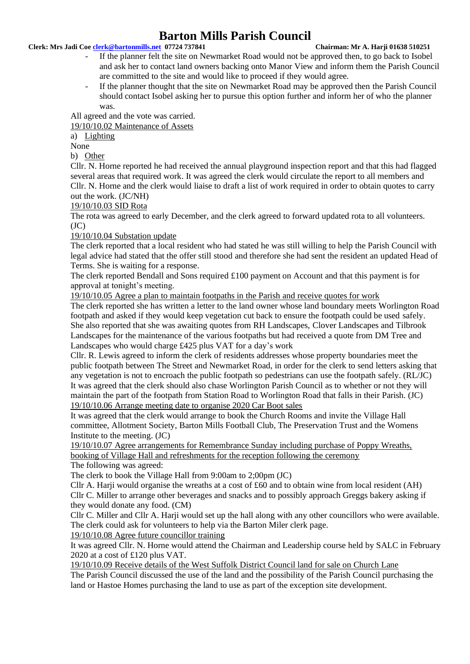### **Clerk: Mrs Jadi Coe [clerk@bartonmills.net](mailto:clerk@bartonmills.net) 07724 737841 Chairman: Mr A. Harji 01638 510251**

- If the planner felt the site on Newmarket Road would not be approved then, to go back to Isobel and ask her to contact land owners backing onto Manor View and inform them the Parish Council are committed to the site and would like to proceed if they would agree.
- If the planner thought that the site on Newmarket Road may be approved then the Parish Council should contact Isobel asking her to pursue this option further and inform her of who the planner was.

All agreed and the vote was carried.

19/10/10.02 Maintenance of Assets

a) Lighting

None

b) Other

Cllr. N. Horne reported he had received the annual playground inspection report and that this had flagged several areas that required work. It was agreed the clerk would circulate the report to all members and Cllr. N. Horne and the clerk would liaise to draft a list of work required in order to obtain quotes to carry out the work. (JC/NH)

19/10/10.03 SID Rota

The rota was agreed to early December, and the clerk agreed to forward updated rota to all volunteers.  $(JC)$ 

19/10/10.04 Substation update

The clerk reported that a local resident who had stated he was still willing to help the Parish Council with legal advice had stated that the offer still stood and therefore she had sent the resident an updated Head of Terms. She is waiting for a response.

The clerk reported Bendall and Sons required £100 payment on Account and that this payment is for approval at tonight's meeting.

19/10/10.05 Agree a plan to maintain footpaths in the Parish and receive quotes for work

The clerk reported she has written a letter to the land owner whose land boundary meets Worlington Road footpath and asked if they would keep vegetation cut back to ensure the footpath could be used safely. She also reported that she was awaiting quotes from RH Landscapes, Clover Landscapes and Tilbrook Landscapes for the maintenance of the various footpaths but had received a quote from DM Tree and Landscapes who would charge £425 plus VAT for a day's work

Cllr. R. Lewis agreed to inform the clerk of residents addresses whose property boundaries meet the public footpath between The Street and Newmarket Road, in order for the clerk to send letters asking that any vegetation is not to encroach the public footpath so pedestrians can use the footpath safely. (RL/JC) It was agreed that the clerk should also chase Worlington Parish Council as to whether or not they will maintain the part of the footpath from Station Road to Worlington Road that falls in their Parish. (JC) 19/10/10.06 Arrange meeting date to organise 2020 Car Boot sales

It was agreed that the clerk would arrange to book the Church Rooms and invite the Village Hall committee, Allotment Society, Barton Mills Football Club, The Preservation Trust and the Womens Institute to the meeting. (JC)

19/10/10.07 Agree arrangements for Remembrance Sunday including purchase of Poppy Wreaths, booking of Village Hall and refreshments for the reception following the ceremony The following was agreed:

The clerk to book the Village Hall from 9:00am to 2;00pm (JC)

Cllr A. Harji would organise the wreaths at a cost of £60 and to obtain wine from local resident (AH) Cllr C. Miller to arrange other beverages and snacks and to possibly approach Greggs bakery asking if they would donate any food. (CM)

Cllr C. Miller and Cllr A. Harji would set up the hall along with any other councillors who were available. The clerk could ask for volunteers to help via the Barton Miler clerk page. 19/10/10.08 Agree future councillor training

It was agreed Cllr. N. Horne would attend the Chairman and Leadership course held by SALC in February 2020 at a cost of £120 plus VAT.

19/10/10.09 Receive details of the West Suffolk District Council land for sale on Church Lane

The Parish Council discussed the use of the land and the possibility of the Parish Council purchasing the land or Hastoe Homes purchasing the land to use as part of the exception site development.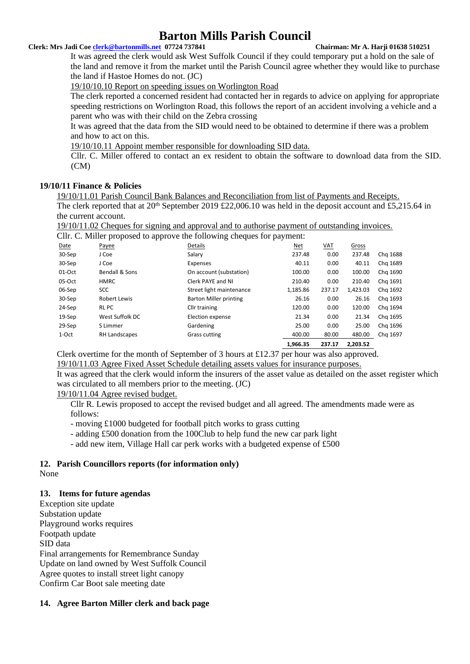### **Clerk: Mrs Jadi Coe [clerk@bartonmills.net](mailto:clerk@bartonmills.net) 07724 737841 Chairman: Mr A. Harji 01638 510251**

It was agreed the clerk would ask West Suffolk Council if they could temporary put a hold on the sale of the land and remove it from the market until the Parish Council agree whether they would like to purchase the land if Hastoe Homes do not. (JC)

19/10/10.10 Report on speeding issues on Worlington Road

The clerk reported a concerned resident had contacted her in regards to advice on applying for appropriate speeding restrictions on Worlington Road, this follows the report of an accident involving a vehicle and a parent who was with their child on the Zebra crossing

It was agreed that the data from the SID would need to be obtained to determine if there was a problem and how to act on this.

19/10/10.11 Appoint member responsible for downloading SID data.

Cllr. C. Miller offered to contact an ex resident to obtain the software to download data from the SID. (CM)

### **19/10/11 Finance & Policies**

19/10/11.01 Parish Council Bank Balances and Reconciliation from list of Payments and Receipts. The clerk reported that at  $20^{th}$  September 2019 £22,006.10 was held in the deposit account and £5,215.64 in the current account.

19/10/11.02 Cheques for signing and approval and to authorise payment of outstanding invoices.

Cllr. C. Miller proposed to approve the following cheques for payment:

|          |                      |                               | 1.966.35 | 237.17 | 2,203.52 |          |
|----------|----------------------|-------------------------------|----------|--------|----------|----------|
| 1-Oct    | <b>RH Landscapes</b> | Grass cutting                 | 400.00   | 80.00  | 480.00   | Chg 1697 |
| 29-Sep   | S Limmer             | Gardening                     | 25.00    | 0.00   | 25.00    | Chg 1696 |
| 19-Sep   | West Suffolk DC      | Election expense              | 21.34    | 0.00   | 21.34    | Chg 1695 |
| 24-Sep   | RL PC                | Cllr training                 | 120.00   | 0.00   | 120.00   | Chg 1694 |
| 30-Sep   | <b>Robert Lewis</b>  | <b>Barton Miller printing</b> | 26.16    | 0.00   | 26.16    | Chg 1693 |
| 06-Sep   | <b>SCC</b>           | Street light maintenance      | 1,185.86 | 237.17 | 1,423.03 | Chg 1692 |
| 05-Oct   | <b>HMRC</b>          | Clerk PAYE and NI             | 210.40   | 0.00   | 210.40   | Chg 1691 |
| $01-Oct$ | Bendall & Sons       | On account (substation)       | 100.00   | 0.00   | 100.00   | Chg 1690 |
| 30-Sep   | J Coe                | Expenses                      | 40.11    | 0.00   | 40.11    | Chg 1689 |
| 30-Sep   | J Coe                | Salary                        | 237.48   | 0.00   | 237.48   | Chg 1688 |
| Date     | Payee                | Details                       | Net      | VAT    | Gross    |          |
|          | . .                  | ັ                             |          |        |          |          |

Clerk overtime for the month of September of 3 hours at £12.37 per hour was also approved. 19/10/11.03 Agree Fixed Asset Schedule detailing assets values for insurance purposes.

It was agreed that the clerk would inform the insurers of the asset value as detailed on the asset register which was circulated to all members prior to the meeting. (JC)

### 19/10/11.04 Agree revised budget.

Cllr R. Lewis proposed to accept the revised budget and all agreed. The amendments made were as follows:

- moving £1000 budgeted for football pitch works to grass cutting
- adding £500 donation from the 100Club to help fund the new car park light
- add new item, Village Hall car perk works with a budgeted expense of £500

### **12. Parish Councillors reports (for information only)** None

### **13. Items for future agendas**

Exception site update Substation update Playground works requires Footpath update SID data Final arrangements for Remembrance Sunday Update on land owned by West Suffolk Council Agree quotes to install street light canopy Confirm Car Boot sale meeting date

### **14. Agree Barton Miller clerk and back page**